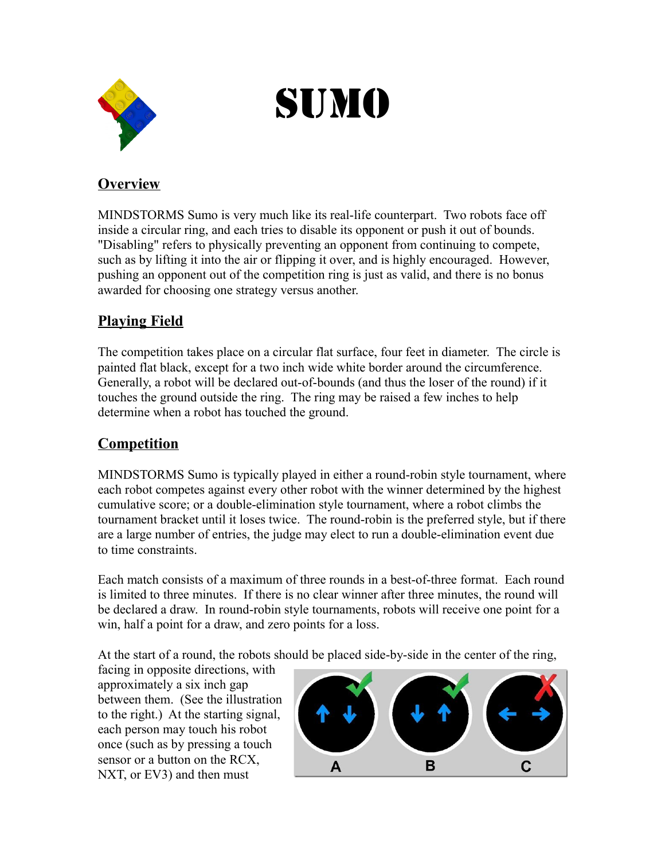

# SUMO

# **Overview**

MINDSTORMS Sumo is very much like its real-life counterpart. Two robots face off inside a circular ring, and each tries to disable its opponent or push it out of bounds. "Disabling" refers to physically preventing an opponent from continuing to compete, such as by lifting it into the air or flipping it over, and is highly encouraged. However, pushing an opponent out of the competition ring is just as valid, and there is no bonus awarded for choosing one strategy versus another.

## **Playing Field**

The competition takes place on a circular flat surface, four feet in diameter. The circle is painted flat black, except for a two inch wide white border around the circumference. Generally, a robot will be declared out-of-bounds (and thus the loser of the round) if it touches the ground outside the ring. The ring may be raised a few inches to help determine when a robot has touched the ground.

## **Competition**

MINDSTORMS Sumo is typically played in either a round-robin style tournament, where each robot competes against every other robot with the winner determined by the highest cumulative score; or a double-elimination style tournament, where a robot climbs the tournament bracket until it loses twice. The round-robin is the preferred style, but if there are a large number of entries, the judge may elect to run a double-elimination event due to time constraints.

Each match consists of a maximum of three rounds in a best-of-three format. Each round is limited to three minutes. If there is no clear winner after three minutes, the round will be declared a draw. In round-robin style tournaments, robots will receive one point for a win, half a point for a draw, and zero points for a loss.

At the start of a round, the robots should be placed side-by-side in the center of the ring,

facing in opposite directions, with approximately a six inch gap between them. (See the illustration to the right.) At the starting signal, each person may touch his robot once (such as by pressing a touch sensor or a button on the RCX, NXT, or EV3) and then must

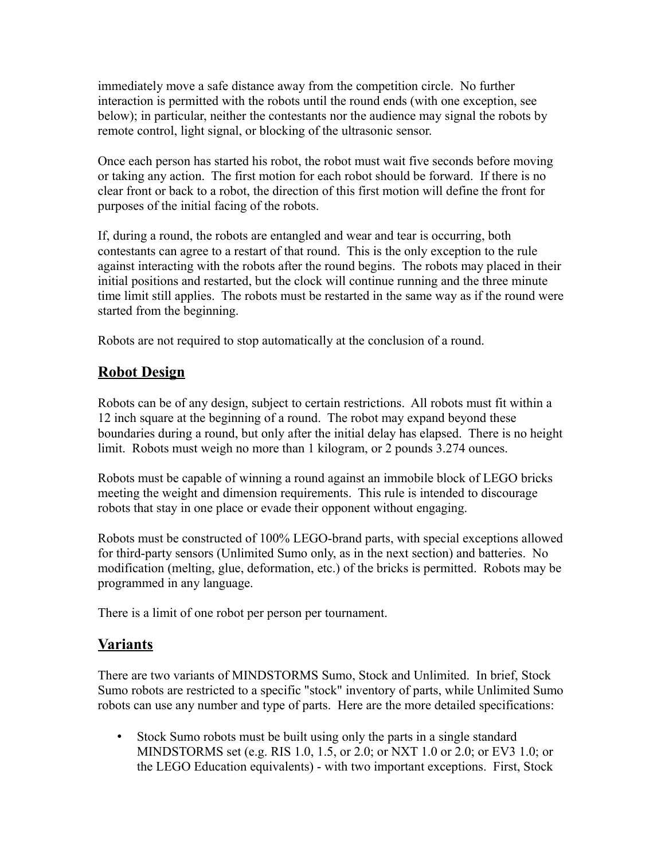immediately move a safe distance away from the competition circle. No further interaction is permitted with the robots until the round ends (with one exception, see below); in particular, neither the contestants nor the audience may signal the robots by remote control, light signal, or blocking of the ultrasonic sensor.

Once each person has started his robot, the robot must wait five seconds before moving or taking any action. The first motion for each robot should be forward. If there is no clear front or back to a robot, the direction of this first motion will define the front for purposes of the initial facing of the robots.

If, during a round, the robots are entangled and wear and tear is occurring, both contestants can agree to a restart of that round. This is the only exception to the rule against interacting with the robots after the round begins. The robots may placed in their initial positions and restarted, but the clock will continue running and the three minute time limit still applies. The robots must be restarted in the same way as if the round were started from the beginning.

Robots are not required to stop automatically at the conclusion of a round.

#### **Robot Design**

Robots can be of any design, subject to certain restrictions. All robots must fit within a 12 inch square at the beginning of a round. The robot may expand beyond these boundaries during a round, but only after the initial delay has elapsed. There is no height limit. Robots must weigh no more than 1 kilogram, or 2 pounds 3.274 ounces.

Robots must be capable of winning a round against an immobile block of LEGO bricks meeting the weight and dimension requirements. This rule is intended to discourage robots that stay in one place or evade their opponent without engaging.

Robots must be constructed of 100% LEGO-brand parts, with special exceptions allowed for third-party sensors (Unlimited Sumo only, as in the next section) and batteries. No modification (melting, glue, deformation, etc.) of the bricks is permitted. Robots may be programmed in any language.

There is a limit of one robot per person per tournament.

#### **Variants**

There are two variants of MINDSTORMS Sumo, Stock and Unlimited. In brief, Stock Sumo robots are restricted to a specific "stock" inventory of parts, while Unlimited Sumo robots can use any number and type of parts. Here are the more detailed specifications:

• Stock Sumo robots must be built using only the parts in a single standard MINDSTORMS set (e.g. RIS 1.0, 1.5, or 2.0; or NXT 1.0 or 2.0; or EV3 1.0; or the LEGO Education equivalents) - with two important exceptions. First, Stock